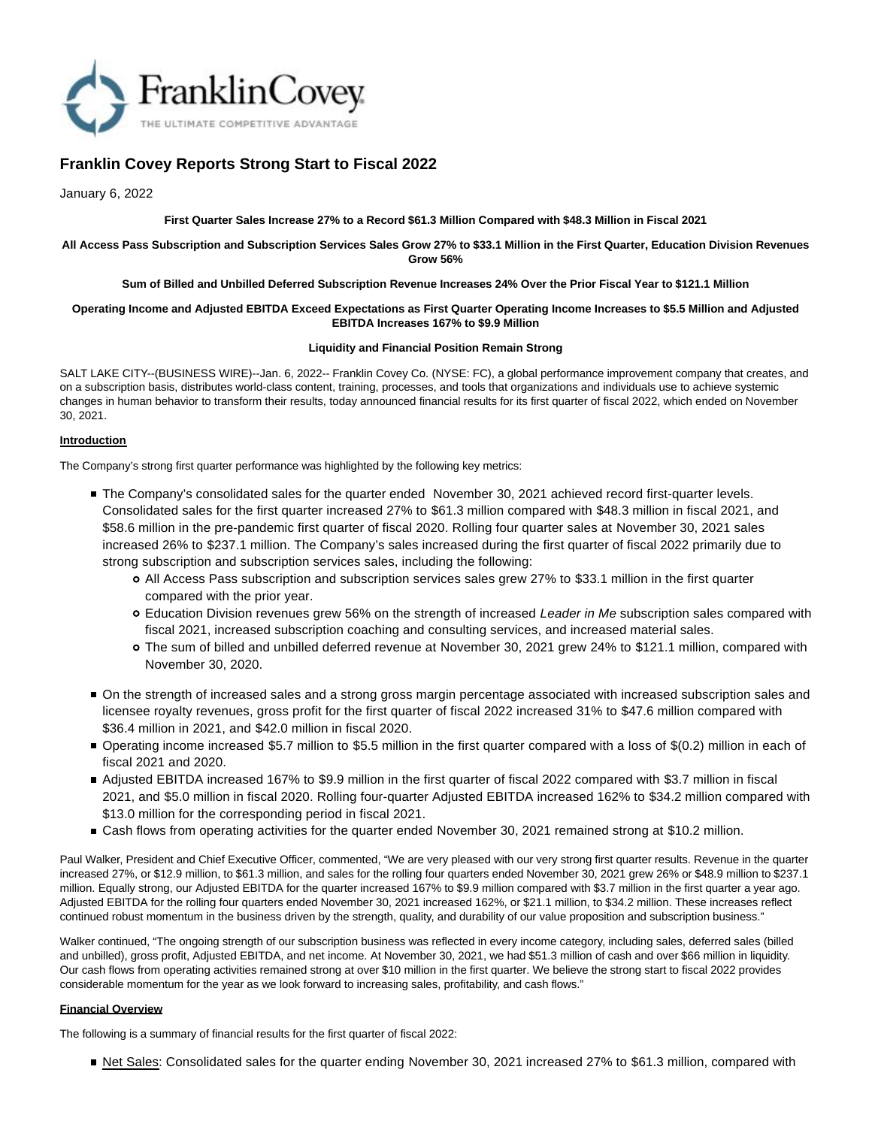

# **Franklin Covey Reports Strong Start to Fiscal 2022**

January 6, 2022

#### **First Quarter Sales Increase 27% to a Record \$61.3 Million Compared with \$48.3 Million in Fiscal 2021**

**All Access Pass Subscription and Subscription Services Sales Grow 27% to \$33.1 Million in the First Quarter, Education Division Revenues Grow 56%**

#### **Sum of Billed and Unbilled Deferred Subscription Revenue Increases 24% Over the Prior Fiscal Year to \$121.1 Million**

#### **Operating Income and Adjusted EBITDA Exceed Expectations as First Quarter Operating Income Increases to \$5.5 Million and Adjusted EBITDA Increases 167% to \$9.9 Million**

#### **Liquidity and Financial Position Remain Strong**

SALT LAKE CITY--(BUSINESS WIRE)--Jan. 6, 2022-- Franklin Covey Co. (NYSE: FC), a global performance improvement company that creates, and on a subscription basis, distributes world-class content, training, processes, and tools that organizations and individuals use to achieve systemic changes in human behavior to transform their results, today announced financial results for its first quarter of fiscal 2022, which ended on November 30, 2021.

#### **Introduction**

The Company's strong first quarter performance was highlighted by the following key metrics:

- The Company's consolidated sales for the quarter ended November 30, 2021 achieved record first-quarter levels. Consolidated sales for the first quarter increased 27% to \$61.3 million compared with \$48.3 million in fiscal 2021, and \$58.6 million in the pre-pandemic first quarter of fiscal 2020. Rolling four quarter sales at November 30, 2021 sales increased 26% to \$237.1 million. The Company's sales increased during the first quarter of fiscal 2022 primarily due to strong subscription and subscription services sales, including the following:
	- All Access Pass subscription and subscription services sales grew 27% to \$33.1 million in the first quarter compared with the prior year.
	- Education Division revenues grew 56% on the strength of increased Leader in Me subscription sales compared with fiscal 2021, increased subscription coaching and consulting services, and increased material sales.
	- The sum of billed and unbilled deferred revenue at November 30, 2021 grew 24% to \$121.1 million, compared with November 30, 2020.
- On the strength of increased sales and a strong gross margin percentage associated with increased subscription sales and licensee royalty revenues, gross profit for the first quarter of fiscal 2022 increased 31% to \$47.6 million compared with \$36.4 million in 2021, and \$42.0 million in fiscal 2020.
- Operating income increased \$5.7 million to \$5.5 million in the first quarter compared with a loss of \$(0.2) million in each of fiscal 2021 and 2020.
- Adjusted EBITDA increased 167% to \$9.9 million in the first quarter of fiscal 2022 compared with \$3.7 million in fiscal 2021, and \$5.0 million in fiscal 2020. Rolling four-quarter Adjusted EBITDA increased 162% to \$34.2 million compared with \$13.0 million for the corresponding period in fiscal 2021.
- Cash flows from operating activities for the quarter ended November 30, 2021 remained strong at \$10.2 million.

Paul Walker, President and Chief Executive Officer, commented, "We are very pleased with our very strong first quarter results. Revenue in the quarter increased 27%, or \$12.9 million, to \$61.3 million, and sales for the rolling four quarters ended November 30, 2021 grew 26% or \$48.9 million to \$237.1 million. Equally strong, our Adjusted EBITDA for the quarter increased 167% to \$9.9 million compared with \$3.7 million in the first quarter a year ago. Adjusted EBITDA for the rolling four quarters ended November 30, 2021 increased 162%, or \$21.1 million, to \$34.2 million. These increases reflect continued robust momentum in the business driven by the strength, quality, and durability of our value proposition and subscription business."

Walker continued, "The ongoing strength of our subscription business was reflected in every income category, including sales, deferred sales (billed and unbilled), gross profit, Adjusted EBITDA, and net income. At November 30, 2021, we had \$51.3 million of cash and over \$66 million in liquidity. Our cash flows from operating activities remained strong at over \$10 million in the first quarter. We believe the strong start to fiscal 2022 provides considerable momentum for the year as we look forward to increasing sales, profitability, and cash flows."

#### **Financial Overview**

The following is a summary of financial results for the first quarter of fiscal 2022:

Net Sales: Consolidated sales for the quarter ending November 30, 2021 increased 27% to \$61.3 million, compared with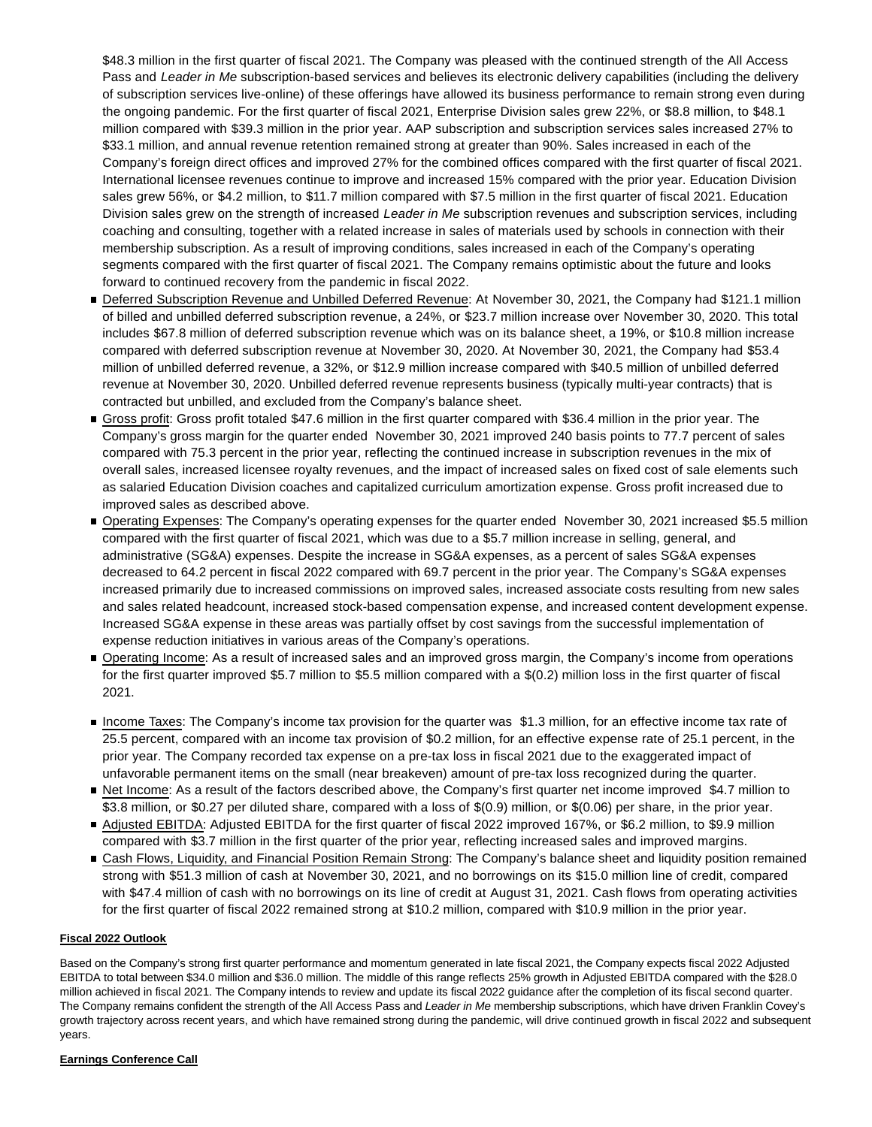\$48.3 million in the first quarter of fiscal 2021. The Company was pleased with the continued strength of the All Access Pass and Leader in Me subscription-based services and believes its electronic delivery capabilities (including the delivery of subscription services live-online) of these offerings have allowed its business performance to remain strong even during the ongoing pandemic. For the first quarter of fiscal 2021, Enterprise Division sales grew 22%, or \$8.8 million, to \$48.1 million compared with \$39.3 million in the prior year. AAP subscription and subscription services sales increased 27% to \$33.1 million, and annual revenue retention remained strong at greater than 90%. Sales increased in each of the Company's foreign direct offices and improved 27% for the combined offices compared with the first quarter of fiscal 2021. International licensee revenues continue to improve and increased 15% compared with the prior year. Education Division sales grew 56%, or \$4.2 million, to \$11.7 million compared with \$7.5 million in the first quarter of fiscal 2021. Education Division sales grew on the strength of increased Leader in Me subscription revenues and subscription services, including coaching and consulting, together with a related increase in sales of materials used by schools in connection with their membership subscription. As a result of improving conditions, sales increased in each of the Company's operating segments compared with the first quarter of fiscal 2021. The Company remains optimistic about the future and looks forward to continued recovery from the pandemic in fiscal 2022.

- Deferred Subscription Revenue and Unbilled Deferred Revenue: At November 30, 2021, the Company had \$121.1 million of billed and unbilled deferred subscription revenue, a 24%, or \$23.7 million increase over November 30, 2020. This total includes \$67.8 million of deferred subscription revenue which was on its balance sheet, a 19%, or \$10.8 million increase compared with deferred subscription revenue at November 30, 2020. At November 30, 2021, the Company had \$53.4 million of unbilled deferred revenue, a 32%, or \$12.9 million increase compared with \$40.5 million of unbilled deferred revenue at November 30, 2020. Unbilled deferred revenue represents business (typically multi-year contracts) that is contracted but unbilled, and excluded from the Company's balance sheet.
- Gross profit: Gross profit totaled \$47.6 million in the first quarter compared with \$36.4 million in the prior year. The Company's gross margin for the quarter ended November 30, 2021 improved 240 basis points to 77.7 percent of sales compared with 75.3 percent in the prior year, reflecting the continued increase in subscription revenues in the mix of overall sales, increased licensee royalty revenues, and the impact of increased sales on fixed cost of sale elements such as salaried Education Division coaches and capitalized curriculum amortization expense. Gross profit increased due to improved sales as described above.
- Operating Expenses: The Company's operating expenses for the quarter ended November 30, 2021 increased \$5.5 million compared with the first quarter of fiscal 2021, which was due to a \$5.7 million increase in selling, general, and administrative (SG&A) expenses. Despite the increase in SG&A expenses, as a percent of sales SG&A expenses decreased to 64.2 percent in fiscal 2022 compared with 69.7 percent in the prior year. The Company's SG&A expenses increased primarily due to increased commissions on improved sales, increased associate costs resulting from new sales and sales related headcount, increased stock-based compensation expense, and increased content development expense. Increased SG&A expense in these areas was partially offset by cost savings from the successful implementation of expense reduction initiatives in various areas of the Company's operations.
- **Operating Income:** As a result of increased sales and an improved gross margin, the Company's income from operations for the first quarter improved \$5.7 million to \$5.5 million compared with a \$(0.2) million loss in the first quarter of fiscal 2021.
- Income Taxes: The Company's income tax provision for the quarter was \$1.3 million, for an effective income tax rate of 25.5 percent, compared with an income tax provision of \$0.2 million, for an effective expense rate of 25.1 percent, in the prior year. The Company recorded tax expense on a pre-tax loss in fiscal 2021 due to the exaggerated impact of unfavorable permanent items on the small (near breakeven) amount of pre-tax loss recognized during the quarter.
- Net Income: As a result of the factors described above, the Company's first quarter net income improved \$4.7 million to \$3.8 million, or \$0.27 per diluted share, compared with a loss of \$(0.9) million, or \$(0.06) per share, in the prior year.
- Adjusted EBITDA: Adjusted EBITDA for the first quarter of fiscal 2022 improved 167%, or \$6.2 million, to \$9.9 million compared with \$3.7 million in the first quarter of the prior year, reflecting increased sales and improved margins.
- Cash Flows, Liquidity, and Financial Position Remain Strong: The Company's balance sheet and liquidity position remained strong with \$51.3 million of cash at November 30, 2021, and no borrowings on its \$15.0 million line of credit, compared with \$47.4 million of cash with no borrowings on its line of credit at August 31, 2021. Cash flows from operating activities for the first quarter of fiscal 2022 remained strong at \$10.2 million, compared with \$10.9 million in the prior year.

#### **Fiscal 2022 Outlook**

Based on the Company's strong first quarter performance and momentum generated in late fiscal 2021, the Company expects fiscal 2022 Adjusted EBITDA to total between \$34.0 million and \$36.0 million. The middle of this range reflects 25% growth in Adjusted EBITDA compared with the \$28.0 million achieved in fiscal 2021. The Company intends to review and update its fiscal 2022 guidance after the completion of its fiscal second quarter. The Company remains confident the strength of the All Access Pass and Leader in Me membership subscriptions, which have driven Franklin Covey's growth trajectory across recent years, and which have remained strong during the pandemic, will drive continued growth in fiscal 2022 and subsequent years.

#### **Earnings Conference Call**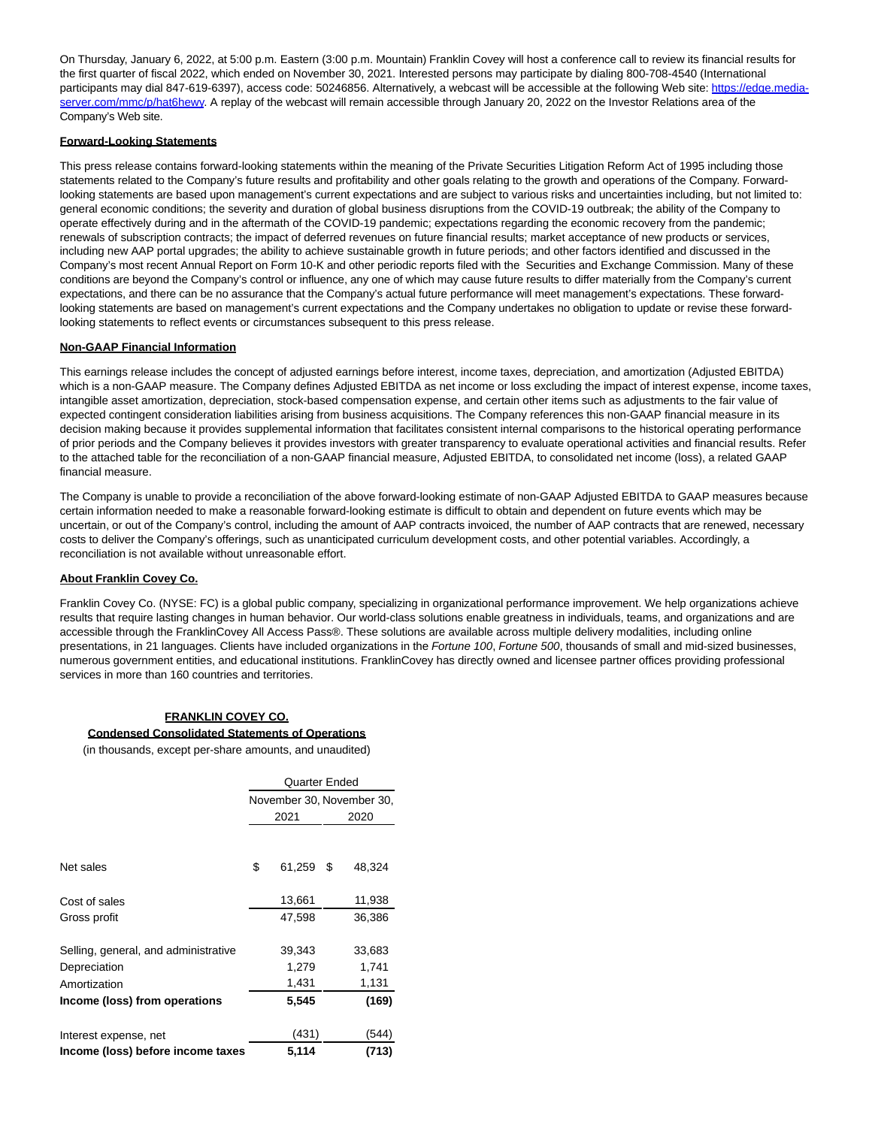On Thursday, January 6, 2022, at 5:00 p.m. Eastern (3:00 p.m. Mountain) Franklin Covey will host a conference call to review its financial results for the first quarter of fiscal 2022, which ended on November 30, 2021. Interested persons may participate by dialing 800-708-4540 (International participants may dial 847-619-6397), access code: 50246856. Alternatively, a webcast will be accessible at the following Web site: [https://edge.media](https://cts.businesswire.com/ct/CT?id=smartlink&url=https%3A%2F%2Fedge.media-server.com%2Fmmc%2Fp%2Fhat6hewy&esheet=52559004&newsitemid=20220106005743&lan=en-US&anchor=https%3A%2F%2Fedge.media-server.com%2Fmmc%2Fp%2Fhat6hewy&index=1&md5=dfbf337d3dd803f6136702a2afdc6475)server.com/mmc/p/hat6hewy. A replay of the webcast will remain accessible through January 20, 2022 on the Investor Relations area of the Company's Web site.

#### **Forward-Looking Statements**

This press release contains forward-looking statements within the meaning of the Private Securities Litigation Reform Act of 1995 including those statements related to the Company's future results and profitability and other goals relating to the growth and operations of the Company. Forwardlooking statements are based upon management's current expectations and are subject to various risks and uncertainties including, but not limited to: general economic conditions; the severity and duration of global business disruptions from the COVID-19 outbreak; the ability of the Company to operate effectively during and in the aftermath of the COVID-19 pandemic; expectations regarding the economic recovery from the pandemic; renewals of subscription contracts; the impact of deferred revenues on future financial results; market acceptance of new products or services, including new AAP portal upgrades; the ability to achieve sustainable growth in future periods; and other factors identified and discussed in the Company's most recent Annual Report on Form 10-K and other periodic reports filed with the Securities and Exchange Commission. Many of these conditions are beyond the Company's control or influence, any one of which may cause future results to differ materially from the Company's current expectations, and there can be no assurance that the Company's actual future performance will meet management's expectations. These forwardlooking statements are based on management's current expectations and the Company undertakes no obligation to update or revise these forwardlooking statements to reflect events or circumstances subsequent to this press release.

#### **Non-GAAP Financial Information**

This earnings release includes the concept of adjusted earnings before interest, income taxes, depreciation, and amortization (Adjusted EBITDA) which is a non-GAAP measure. The Company defines Adjusted EBITDA as net income or loss excluding the impact of interest expense, income taxes, intangible asset amortization, depreciation, stock-based compensation expense, and certain other items such as adjustments to the fair value of expected contingent consideration liabilities arising from business acquisitions. The Company references this non-GAAP financial measure in its decision making because it provides supplemental information that facilitates consistent internal comparisons to the historical operating performance of prior periods and the Company believes it provides investors with greater transparency to evaluate operational activities and financial results. Refer to the attached table for the reconciliation of a non-GAAP financial measure, Adjusted EBITDA, to consolidated net income (loss), a related GAAP financial measure.

The Company is unable to provide a reconciliation of the above forward-looking estimate of non-GAAP Adjusted EBITDA to GAAP measures because certain information needed to make a reasonable forward-looking estimate is difficult to obtain and dependent on future events which may be uncertain, or out of the Company's control, including the amount of AAP contracts invoiced, the number of AAP contracts that are renewed, necessary costs to deliver the Company's offerings, such as unanticipated curriculum development costs, and other potential variables. Accordingly, a reconciliation is not available without unreasonable effort.

### **About Franklin Covey Co.**

Franklin Covey Co. (NYSE: FC) is a global public company, specializing in organizational performance improvement. We help organizations achieve results that require lasting changes in human behavior. Our world-class solutions enable greatness in individuals, teams, and organizations and are accessible through the FranklinCovey All Access Pass®. These solutions are available across multiple delivery modalities, including online presentations, in 21 languages. Clients have included organizations in the Fortune 100, Fortune 500, thousands of small and mid-sized businesses, numerous government entities, and educational institutions. FranklinCovey has directly owned and licensee partner offices providing professional services in more than 160 countries and territories.

#### **FRANKLIN COVEY CO.**

#### **Condensed Consolidated Statements of Operations**

(in thousands, except per-share amounts, and unaudited)

|                                      |                           | Quarter Ended |    |        |  |  |
|--------------------------------------|---------------------------|---------------|----|--------|--|--|
|                                      | November 30, November 30, |               |    |        |  |  |
|                                      |                           | 2021          |    | 2020   |  |  |
|                                      |                           |               |    |        |  |  |
| Net sales                            | \$                        | 61,259        | \$ | 48,324 |  |  |
| Cost of sales                        |                           | 13,661        |    | 11,938 |  |  |
| Gross profit                         |                           | 47,598        |    | 36,386 |  |  |
| Selling, general, and administrative |                           | 39,343        |    | 33,683 |  |  |
| Depreciation                         |                           | 1,279         |    | 1,741  |  |  |
| Amortization                         |                           | 1,431         |    | 1,131  |  |  |
| Income (loss) from operations        |                           | 5,545         |    | (169)  |  |  |
| Interest expense, net                |                           | (431)         |    | (544)  |  |  |
| Income (loss) before income taxes    | 5,114                     |               |    | (713)  |  |  |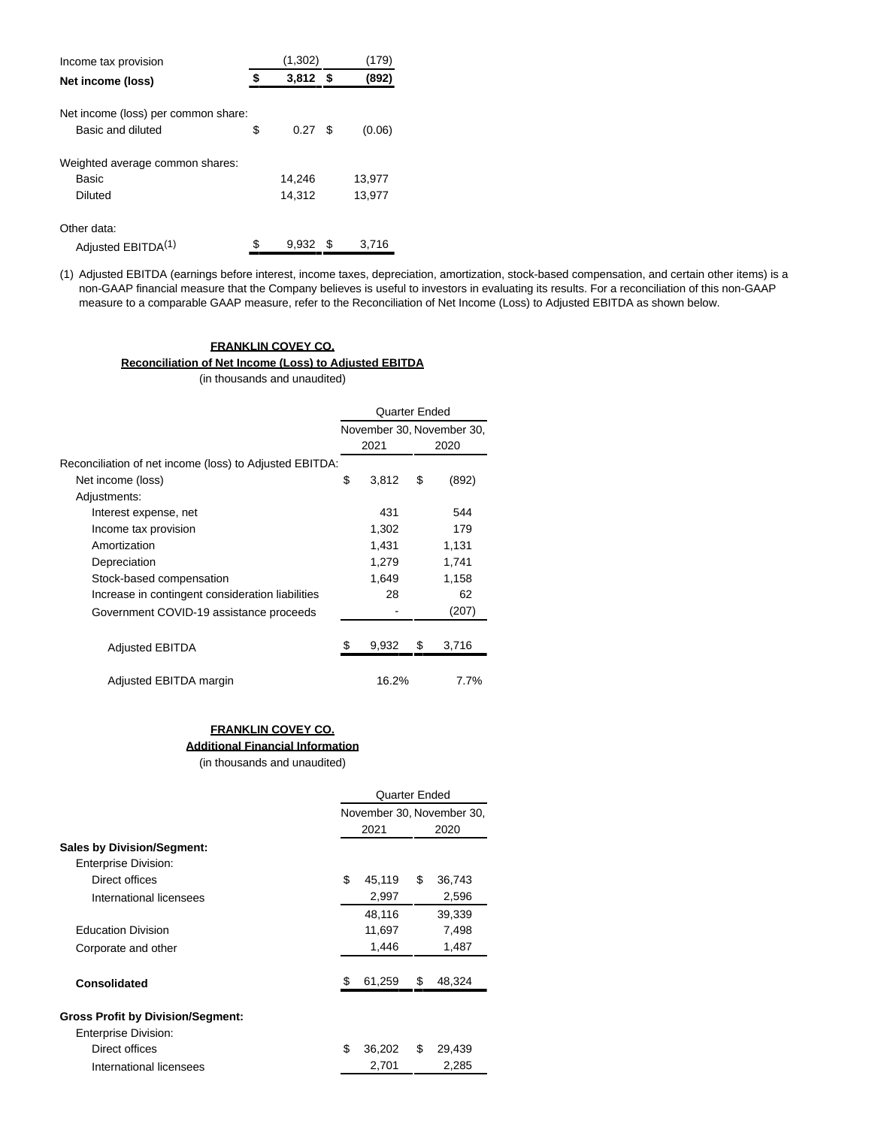| Income tax provision                                       | (1,302)          |    | 179)             |  |  |
|------------------------------------------------------------|------------------|----|------------------|--|--|
| Net income (loss)                                          | \$<br>$3,812$ \$ |    | (892)            |  |  |
| Net income (loss) per common share:<br>Basic and diluted   | \$<br>0.27       | \$ | (0.06)           |  |  |
| Weighted average common shares:<br>Basic<br><b>Diluted</b> | 14.246<br>14,312 |    | 13,977<br>13,977 |  |  |
| Other data:<br>Adjusted EBITDA <sup>(1)</sup>              | 9.932            |    | 3,716            |  |  |

(1) Adjusted EBITDA (earnings before interest, income taxes, depreciation, amortization, stock-based compensation, and certain other items) is a non-GAAP financial measure that the Company believes is useful to investors in evaluating its results. For a reconciliation of this non-GAAP measure to a comparable GAAP measure, refer to the Reconciliation of Net Income (Loss) to Adjusted EBITDA as shown below.

## **FRANKLIN COVEY CO. Reconciliation of Net Income (Loss) to Adjusted EBITDA**

(in thousands and unaudited)

|                                                         | Quarter Ended             |       |    |       |
|---------------------------------------------------------|---------------------------|-------|----|-------|
|                                                         | November 30, November 30, |       |    |       |
|                                                         | 2021                      |       |    | 2020  |
| Reconciliation of net income (loss) to Adjusted EBITDA: |                           |       |    |       |
| Net income (loss)                                       | \$                        | 3,812 | S  | (892) |
| Adjustments:                                            |                           |       |    |       |
| Interest expense, net                                   |                           | 431   |    | 544   |
| Income tax provision                                    |                           | 1,302 |    | 179   |
| Amortization                                            |                           | 1,431 |    | 1,131 |
| Depreciation                                            |                           | 1,279 |    | 1,741 |
| Stock-based compensation                                |                           | 1,649 |    | 1,158 |
| Increase in contingent consideration liabilities        |                           | 28    |    | 62    |
| Government COVID-19 assistance proceeds                 |                           |       |    | (207) |
| <b>Adjusted EBITDA</b>                                  | S                         | 9,932 | \$ | 3,716 |
| Adjusted EBITDA margin                                  |                           | 16.2% |    | 7.7%  |

# **FRANKLIN COVEY CO.**

**Additional Financial Information**

(in thousands and unaudited)

|                                          | <b>Quarter Ended</b>      |        |      |        |  |
|------------------------------------------|---------------------------|--------|------|--------|--|
|                                          | November 30, November 30, |        |      |        |  |
|                                          |                           | 2021   | 2020 |        |  |
| <b>Sales by Division/Segment:</b>        |                           |        |      |        |  |
| <b>Enterprise Division:</b>              |                           |        |      |        |  |
| Direct offices                           | \$                        | 45,119 | \$   | 36,743 |  |
| International licensees                  |                           | 2,997  |      | 2,596  |  |
|                                          |                           | 48,116 |      | 39,339 |  |
| <b>Education Division</b>                |                           | 11,697 |      | 7,498  |  |
| Corporate and other                      |                           | 1,446  |      | 1,487  |  |
| Consolidated                             | ß.                        | 61,259 | \$   | 48,324 |  |
| <b>Gross Profit by Division/Segment:</b> |                           |        |      |        |  |
| Enterprise Division:                     |                           |        |      |        |  |
| Direct offices                           | \$                        | 36,202 | \$   | 29,439 |  |
| International licensees                  |                           | 2,701  |      | 2,285  |  |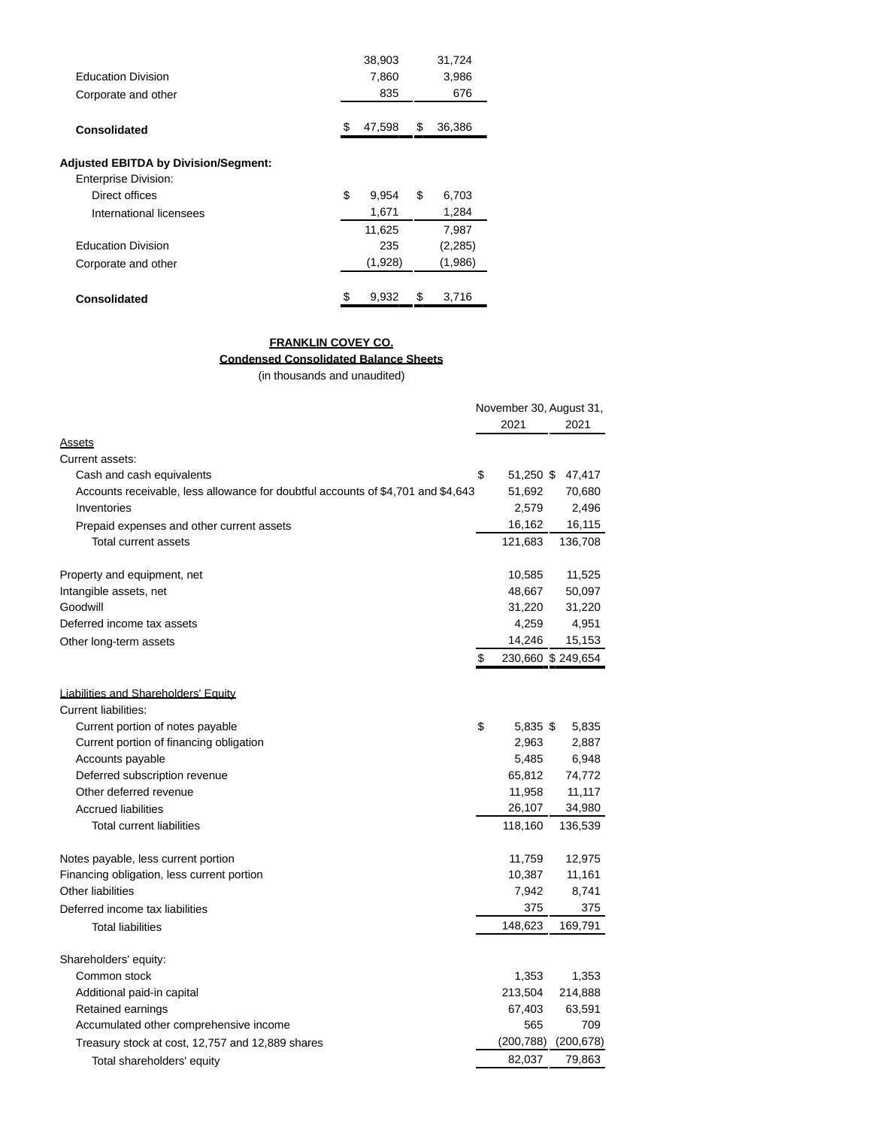|                                             |    | 38,903         |    | 31,724   |
|---------------------------------------------|----|----------------|----|----------|
| <b>Education Division</b>                   |    | 7,860          |    | 3,986    |
| Corporate and other                         |    | 835            |    | 676      |
| Consolidated                                | S  | 47,598         | \$ | 36,386   |
| <b>Adjusted EBITDA by Division/Segment:</b> |    |                |    |          |
| <b>Enterprise Division:</b>                 |    |                |    |          |
| Direct offices                              | \$ | 9,954          | \$ | 6,703    |
| International licensees                     |    | 1,671<br>1,284 |    |          |
|                                             |    | 11,625         |    | 7,987    |
| <b>Education Division</b>                   |    | 235            |    | (2, 285) |
| Corporate and other                         |    | (1,928)        |    | (1,986)  |
| <b>Consolidated</b>                         | \$ | 9.932          | \$ | 3.716    |

# **FRANKLIN COVEY CO. Condensed Consolidated Balance Sheets**

(in thousands and unaudited)

|                                                                                  | 2021             | November 30, August 31,<br>2021 |
|----------------------------------------------------------------------------------|------------------|---------------------------------|
| <b>Assets</b>                                                                    |                  |                                 |
| Current assets:                                                                  |                  |                                 |
| Cash and cash equivalents                                                        | \$<br>51,250 \$  | 47,417                          |
| Accounts receivable, less allowance for doubtful accounts of \$4,701 and \$4,643 | 51,692           | 70,680                          |
| Inventories                                                                      | 2,579            | 2,496                           |
| Prepaid expenses and other current assets                                        | 16,162           | 16,115                          |
| Total current assets                                                             | 121,683          | 136,708                         |
| Property and equipment, net                                                      | 10,585           | 11,525                          |
| Intangible assets, net                                                           | 48,667           | 50,097                          |
| Goodwill                                                                         | 31,220           | 31,220                          |
| Deferred income tax assets                                                       | 4,259            | 4,951                           |
| Other long-term assets                                                           | 14,246           | 15,153                          |
|                                                                                  | \$               | 230,660 \$249,654               |
| <b>Liabilities and Shareholders' Equity</b>                                      |                  |                                 |
| <b>Current liabilities:</b>                                                      |                  |                                 |
| Current portion of notes payable                                                 | \$<br>$5,835$ \$ | 5,835                           |
| Current portion of financing obligation                                          | 2,963            | 2,887                           |
| Accounts payable                                                                 | 5,485            | 6,948                           |
| Deferred subscription revenue                                                    | 65,812           | 74,772                          |
| Other deferred revenue                                                           | 11,958           | 11,117                          |
| <b>Accrued liabilities</b>                                                       | 26,107           | 34,980                          |
| <b>Total current liabilities</b>                                                 | 118,160          | 136,539                         |
| Notes payable, less current portion                                              | 11,759           | 12,975                          |
| Financing obligation, less current portion                                       | 10,387           | 11,161                          |
| <b>Other liabilities</b>                                                         | 7,942            | 8,741                           |
| Deferred income tax liabilities                                                  | 375              | 375                             |
| <b>Total liabilities</b>                                                         | 148,623          | 169,791                         |
| Shareholders' equity:                                                            |                  |                                 |
| Common stock                                                                     | 1,353            | 1,353                           |
| Additional paid-in capital                                                       | 213,504          | 214,888                         |
| Retained earnings                                                                | 67,403           | 63,591                          |
| Accumulated other comprehensive income                                           | 565              | 709                             |
| Treasury stock at cost, 12,757 and 12,889 shares                                 | (200, 788)       | (200, 678)                      |
| Total shareholders' equity                                                       | 82.037           | 79,863                          |